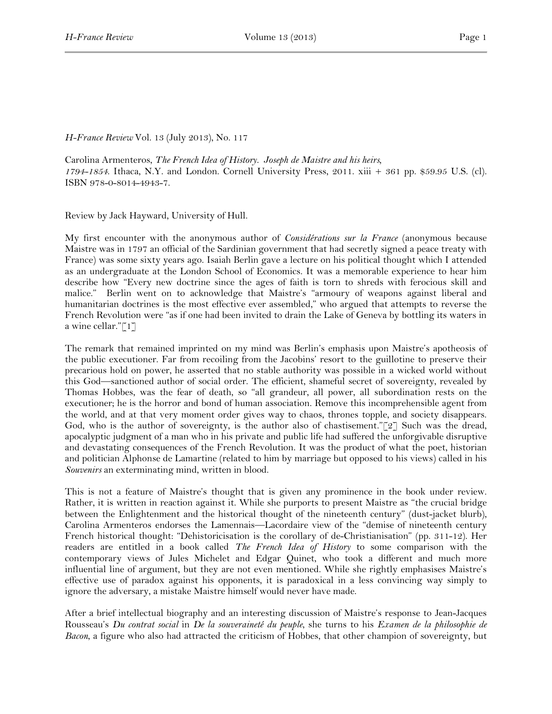*H-France Review* Vol. 13 (July 2013), No. 117

Carolina Armenteros, *The French Idea of History. Joseph de Maistre and his heirs, 1794-1854*. Ithaca, N.Y. and London. Cornell University Press, 2011. xiii + 361 pp. \$59.95 U.S. (cl). ISBN 978-0-8014-4943-7.

Review by Jack Hayward, University of Hull.

My first encounter with the anonymous author of *Considérations sur la France* (anonymous because Maistre was in 1797 an official of the Sardinian government that had secretly signed a peace treaty with France) was some sixty years ago. Isaiah Berlin gave a lecture on his political thought which I attended as an undergraduate at the London School of Economics. It was a memorable experience to hear him describe how "Every new doctrine since the ages of faith is torn to shreds with ferocious skill and malice." Berlin went on to acknowledge that Maistre's "armoury of weapons against liberal and humanitarian doctrines is the most effective ever assembled," who argued that attempts to reverse the French Revolution were "as if one had been invited to drain the Lake of Geneva by bottling its waters in a wine cellar."[1]

The remark that remained imprinted on my mind was Berlin's emphasis upon Maistre's apotheosis of the public executioner. Far from recoiling from the Jacobins' resort to the guillotine to preserve their precarious hold on power, he asserted that no stable authority was possible in a wicked world without this God—sanctioned author of social order. The efficient, shameful secret of sovereignty, revealed by Thomas Hobbes, was the fear of death, so "all grandeur, all power, all subordination rests on the executioner; he is the horror and bond of human association. Remove this incomprehensible agent from the world, and at that very moment order gives way to chaos, thrones topple, and society disappears. God, who is the author of sovereignty, is the author also of chastisement." $[2]$  Such was the dread, apocalyptic judgment of a man who in his private and public life had suffered the unforgivable disruptive and devastating consequences of the French Revolution. It was the product of what the poet, historian and politician Alphonse de Lamartine (related to him by marriage but opposed to his views) called in his *Souvenirs* an exterminating mind, written in blood.

This is not a feature of Maistre's thought that is given any prominence in the book under review. Rather, it is written in reaction against it. While she purports to present Maistre as "the crucial bridge between the Enlightenment and the historical thought of the nineteenth century" (dust-jacket blurb), Carolina Armenteros endorses the Lamennais—Lacordaire view of the "demise of nineteenth century French historical thought: "Dehistoricisation is the corollary of de-Christianisation" (pp. 311-12). Her readers are entitled in a book called *The French Idea of History* to some comparison with the contemporary views of Jules Michelet and Edgar Quinet, who took a different and much more influential line of argument, but they are not even mentioned. While she rightly emphasises Maistre's effective use of paradox against his opponents, it is paradoxical in a less convincing way simply to ignore the adversary, a mistake Maistre himself would never have made.

After a brief intellectual biography and an interesting discussion of Maistre's response to Jean-Jacques Rousseau's *Du contrat social* in *De la souveraineté du peuple*, she turns to his *Examen de la philosophie de Bacon*, a figure who also had attracted the criticism of Hobbes, that other champion of sovereignty, but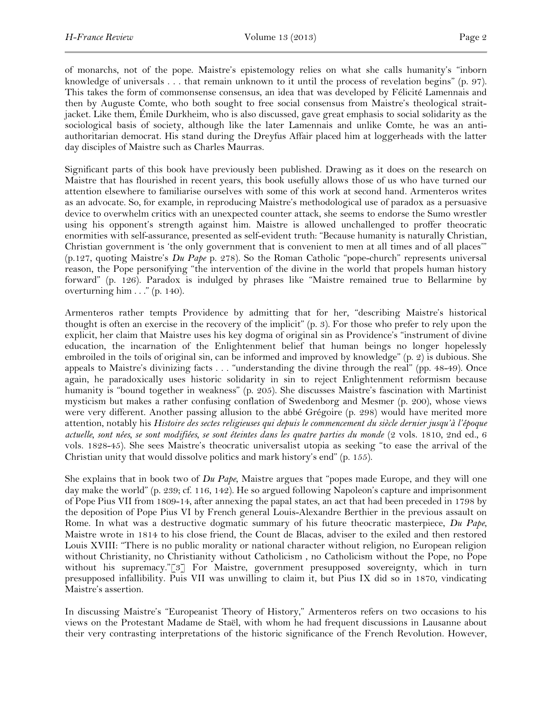of monarchs, not of the pope. Maistre's epistemology relies on what she calls humanity's "inborn knowledge of universals . . . that remain unknown to it until the process of revelation begins" (p. 97). This takes the form of commonsense consensus, an idea that was developed by Félicité Lamennais and then by Auguste Comte, who both sought to free social consensus from Maistre's theological straitjacket. Like them, Émile Durkheim, who is also discussed, gave great emphasis to social solidarity as the sociological basis of society, although like the later Lamennais and unlike Comte, he was an antiauthoritarian democrat. His stand during the Dreyfus Affair placed him at loggerheads with the latter day disciples of Maistre such as Charles Maurras.

Significant parts of this book have previously been published. Drawing as it does on the research on Maistre that has flourished in recent years, this book usefully allows those of us who have turned our attention elsewhere to familiarise ourselves with some of this work at second hand. Armenteros writes as an advocate. So, for example, in reproducing Maistre's methodological use of paradox as a persuasive device to overwhelm critics with an unexpected counter attack, she seems to endorse the Sumo wrestler using his opponent's strength against him. Maistre is allowed unchallenged to proffer theocratic enormities with self-assurance, presented as self-evident truth: "Because humanity is naturally Christian, Christian government is 'the only government that is convenient to men at all times and of all places'" (p.127, quoting Maistre's *Du Pape* p. 278). So the Roman Catholic "pope-church" represents universal reason, the Pope personifying "the intervention of the divine in the world that propels human history forward" (p. 126). Paradox is indulged by phrases like "Maistre remained true to Bellarmine by overturning him . . ." (p. 140).

Armenteros rather tempts Providence by admitting that for her, "describing Maistre's historical thought is often an exercise in the recovery of the implicit" (p. 3). For those who prefer to rely upon the explicit, her claim that Maistre uses his key dogma of original sin as Providence's "instrument of divine education, the incarnation of the Enlightenment belief that human beings no longer hopelessly embroiled in the toils of original sin, can be informed and improved by knowledge" (p. 2) is dubious. She appeals to Maistre's divinizing facts . . . "understanding the divine through the real" (pp. 48-49). Once again, he paradoxically uses historic solidarity in sin to reject Enlightenment reformism because humanity is "bound together in weakness" (p. 205). She discusses Maistre's fascination with Martinist mysticism but makes a rather confusing conflation of Swedenborg and Mesmer (p. 200), whose views were very different. Another passing allusion to the abbé Grégoire (p. 298) would have merited more attention, notably his *Histoire des sectes religieuses qui depuis le commencement du siècle dernier jusqu'à l'époque actuelle, sont nées, se sont modifiées, se sont éteintes dans les quatre parties du monde* (2 vols. 1810, 2nd ed., 6 vols. 1828-45). She sees Maistre's theocratic universalist utopia as seeking "to ease the arrival of the Christian unity that would dissolve politics and mark history's end" (p. 155).

She explains that in book two of *Du Pape*, Maistre argues that "popes made Europe, and they will one day make the world" (p. 239; cf. 116, 142). He so argued following Napoleon's capture and imprisonment of Pope Pius VII from 1809-14, after annexing the papal states, an act that had been preceded in 1798 by the deposition of Pope Pius VI by French general Louis-Alexandre Berthier in the previous assault on Rome. In what was a destructive dogmatic summary of his future theocratic masterpiece, *Du Pape*, Maistre wrote in 1814 to his close friend, the Count de Blacas, adviser to the exiled and then restored Louis XVIII: "There is no public morality or national character without religion, no European religion without Christianity, no Christianity without Catholicism , no Catholicism without the Pope, no Pope without his supremacy."[3] For Maistre, government presupposed sovereignty, which in turn presupposed infallibility. Puis VII was unwilling to claim it, but Pius IX did so in 1870, vindicating Maistre's assertion.

In discussing Maistre's "Europeanist Theory of History," Armenteros refers on two occasions to his views on the Protestant Madame de Staël, with whom he had frequent discussions in Lausanne about their very contrasting interpretations of the historic significance of the French Revolution. However,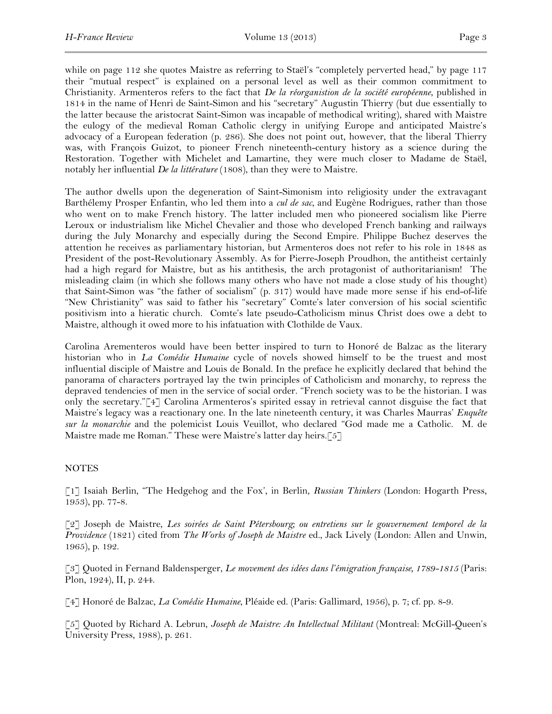while on page 112 she quotes Maistre as referring to Staël's "completely perverted head," by page 117 their "mutual respect" is explained on a personal level as well as their common commitment to Christianity. Armenteros refers to the fact that *De la réorganistion de la société européenne*, published in 1814 in the name of Henri de Saint-Simon and his "secretary" Augustin Thierry (but due essentially to the latter because the aristocrat Saint-Simon was incapable of methodical writing), shared with Maistre the eulogy of the medieval Roman Catholic clergy in unifying Europe and anticipated Maistre's advocacy of a European federation (p. 286). She does not point out, however, that the liberal Thierry was, with François Guizot, to pioneer French nineteenth-century history as a science during the Restoration. Together with Michelet and Lamartine, they were much closer to Madame de Staël, notably her influential *De la littérature* (1808), than they were to Maistre.

The author dwells upon the degeneration of Saint-Simonism into religiosity under the extravagant Barthélemy Prosper Enfantin, who led them into a *cul de sac*, and Eugène Rodrigues, rather than those who went on to make French history. The latter included men who pioneered socialism like Pierre Leroux or industrialism like Michel Chevalier and those who developed French banking and railways during the July Monarchy and especially during the Second Empire. Philippe Buchez deserves the attention he receives as parliamentary historian, but Armenteros does not refer to his role in 1848 as President of the post-Revolutionary Assembly. As for Pierre-Joseph Proudhon, the antitheist certainly had a high regard for Maistre, but as his antithesis, the arch protagonist of authoritarianism! The misleading claim (in which she follows many others who have not made a close study of his thought) that Saint-Simon was "the father of socialism" (p. 317) would have made more sense if his end-of-life "New Christianity" was said to father his "secretary" Comte's later conversion of his social scientific positivism into a hieratic church. Comte's late pseudo-Catholicism minus Christ does owe a debt to Maistre, although it owed more to his infatuation with Clothilde de Vaux.

Carolina Arementeros would have been better inspired to turn to Honoré de Balzac as the literary historian who in *La Comédie Humaine* cycle of novels showed himself to be the truest and most influential disciple of Maistre and Louis de Bonald. In the preface he explicitly declared that behind the panorama of characters portrayed lay the twin principles of Catholicism and monarchy, to repress the depraved tendencies of men in the service of social order. "French society was to be the historian. I was only the secretary."[4] Carolina Armenteros's spirited essay in retrieval cannot disguise the fact that Maistre's legacy was a reactionary one. In the late nineteenth century, it was Charles Maurras' *Enquête sur la monarchie* and the polemicist Louis Veuillot, who declared "God made me a Catholic. M. de Maistre made me Roman." These were Maistre's latter day heirs.[5]

## **NOTES**

[1] Isaiah Berlin, "The Hedgehog and the Fox', in Berlin, *Russian Thinkers* (London: Hogarth Press, 1953), pp. 77-8.

[2] Joseph de Maistre, *Les soirées de Saint Pétersbourg; ou entretiens sur le gouvernement temporel de la Providence* (1821) cited from *The Works of Joseph de Maistre* ed., Jack Lively (London: Allen and Unwin, 1965), p. 192.

[3] Quoted in Fernand Baldensperger, *Le movement des idées dans l'émigration française, 1789-1815* (Paris: Plon, 1924), II, p. 244.

[4] Honoré de Balzac, *La Comédie Humaine*, Pléaide ed. (Paris: Gallimard, 1956), p. 7; cf. pp. 8-9.

[5] Quoted by Richard A. Lebrun, *Joseph de Maistre: An Intellectual Militant* (Montreal: McGill-Queen's University Press, 1988), p. 261.